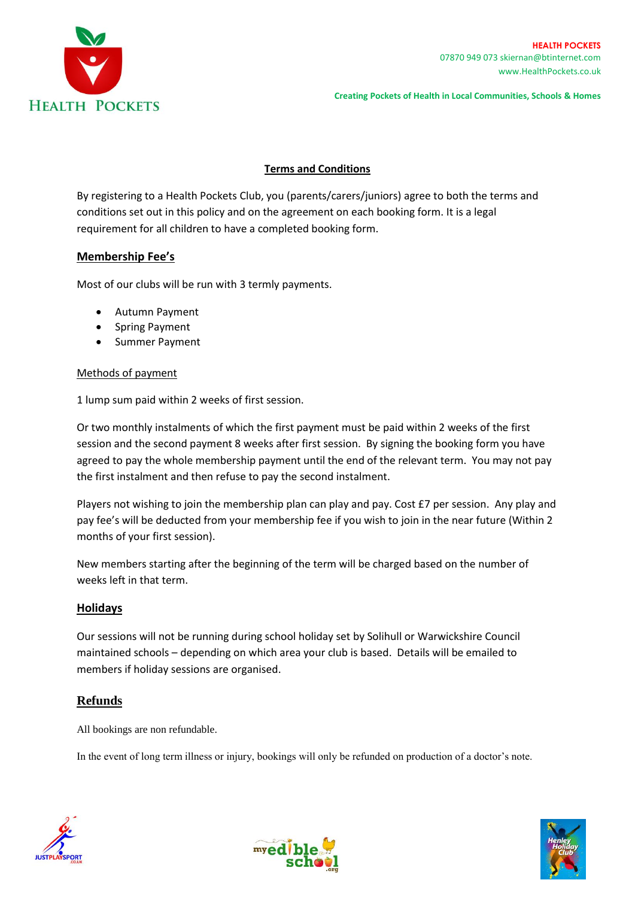

**Creating Pockets of Health in Local Communities, Schools & Homes**

## **Terms and Conditions**

By registering to a Health Pockets Club, you (parents/carers/juniors) agree to both the terms and conditions set out in this policy and on the agreement on each booking form. It is a legal requirement for all children to have a completed booking form.

# **Membership Fee's**

Most of our clubs will be run with 3 termly payments.

- Autumn Payment
- Spring Payment
- Summer Payment

### Methods of payment

1 lump sum paid within 2 weeks of first session.

Or two monthly instalments of which the first payment must be paid within 2 weeks of the first session and the second payment 8 weeks after first session. By signing the booking form you have agreed to pay the whole membership payment until the end of the relevant term. You may not pay the first instalment and then refuse to pay the second instalment.

Players not wishing to join the membership plan can play and pay. Cost £7 per session. Any play and pay fee's will be deducted from your membership fee if you wish to join in the near future (Within 2 months of your first session).

New members starting after the beginning of the term will be charged based on the number of weeks left in that term.

## **Holidays**

Our sessions will not be running during school holiday set by Solihull or Warwickshire Council maintained schools – depending on which area your club is based. Details will be emailed to members if holiday sessions are organised.

## **Refunds**

All bookings are non refundable.

In the event of long term illness or injury, bookings will only be refunded on production of a doctor's note.